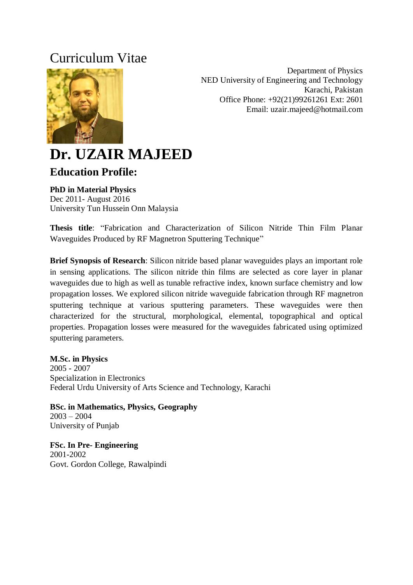## Curriculum Vitae



Department of Physics NED University of Engineering and Technology Karachi, Pakistan Office Phone: +92(21)99261261 Ext: 2601 Email: uzair.majeed@hotmail.com

# **Dr. UZAIR MAJEED**

## **Education Profile:**

#### **PhD in Material Physics**

Dec 2011- August 2016 University Tun Hussein Onn Malaysia

**Thesis title**: "Fabrication and Characterization of Silicon Nitride Thin Film Planar Waveguides Produced by RF Magnetron Sputtering Technique"

**Brief Synopsis of Research**: Silicon nitride based planar waveguides plays an important role in sensing applications. The silicon nitride thin films are selected as core layer in planar waveguides due to high as well as tunable refractive index, known surface chemistry and low propagation losses. We explored silicon nitride waveguide fabrication through RF magnetron sputtering technique at various sputtering parameters. These waveguides were then characterized for the structural, morphological, elemental, topographical and optical properties. Propagation losses were measured for the waveguides fabricated using optimized sputtering parameters.

#### **M.Sc. in Physics**

2005 - 2007 Specialization in Electronics Federal Urdu University of Arts Science and Technology, Karachi

**BSc. in Mathematics, Physics, Geography** 2003 – 2004 University of Punjab

**FSc. In Pre- Engineering** 2001-2002 Govt. Gordon College, Rawalpindi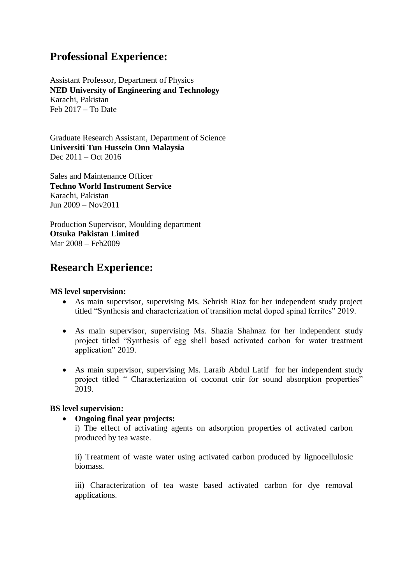## **Professional Experience:**

Assistant Professor, Department of Physics **NED University of Engineering and Technology** Karachi, Pakistan Feb 2017 – To Date

Graduate Research Assistant, Department of Science **Universiti Tun Hussein Onn Malaysia** Dec 2011 – Oct 2016

Sales and Maintenance Officer **Techno World Instrument Service** Karachi, Pakistan Jun 2009 – Nov2011

Production Supervisor, Moulding department **Otsuka Pakistan Limited** Mar 2008 – Feb2009

## **Research Experience:**

#### **MS level supervision:**

- As main supervisor, supervising Ms. Sehrish Riaz for her independent study project titled "Synthesis and characterization of transition metal doped spinal ferrites" 2019.
- As main supervisor, supervising Ms. Shazia Shahnaz for her independent study project titled "Synthesis of egg shell based activated carbon for water treatment application" 2019.
- As main supervisor, supervising Ms. Laraib Abdul Latif for her independent study project titled " Characterization of coconut coir for sound absorption properties" 2019.

#### **BS level supervision:**

#### **Ongoing final year projects:**

i) The effect of activating agents on adsorption properties of activated carbon produced by tea waste.

ii) Treatment of waste water using activated carbon produced by lignocellulosic biomass.

iii) Characterization of tea waste based activated carbon for dye removal applications.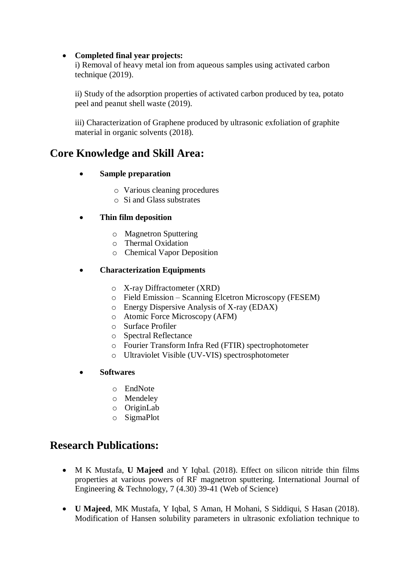#### **Completed final year projects:**

i) Removal of heavy metal ion from aqueous samples using activated carbon technique (2019).

ii) Study of the adsorption properties of activated carbon produced by tea, potato peel and peanut shell waste (2019).

iii) Characterization of Graphene produced by ultrasonic exfoliation of graphite material in organic solvents (2018).

## **Core Knowledge and Skill Area:**

#### **Sample preparation**

- o Various cleaning procedures
- o Si and Glass substrates

#### **Thin film deposition**

- o Magnetron Sputtering
- o Thermal Oxidation
- o Chemical Vapor Deposition

#### **Characterization Equipments**

- o X-ray Diffractometer (XRD)
- o Field Emission Scanning Elcetron Microscopy (FESEM)
- o Energy Dispersive Analysis of X-ray (EDAX)
- o Atomic Force Microscopy (AFM)
- o Surface Profiler
- o Spectral Reflectance
- o Fourier Transform Infra Red (FTIR) spectrophotometer
- o Ultraviolet Visible (UV-VIS) spectrosphotometer
- **Softwares**
	- o EndNote
	- o Mendeley
	- o OriginLab
	- o SigmaPlot

## **Research Publications:**

- M K Mustafa, **U Majeed** and Y Iqbal. (2018). Effect on silicon nitride thin films properties at various powers of RF magnetron sputtering. International Journal of Engineering & Technology, 7 (4.30) 39-41 (Web of Science)
- **U Majeed**, MK Mustafa, Y Iqbal, S Aman, H Mohani, S Siddiqui, S Hasan (2018). Modification of Hansen solubility parameters in ultrasonic exfoliation technique to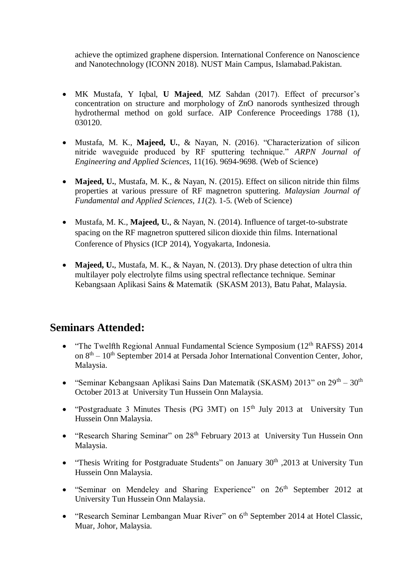achieve the optimized graphene dispersion. International Conference on Nanoscience and Nanotechnology (ICONN 2018). NUST Main Campus, Islamabad.Pakistan.

- MK Mustafa, Y Iqbal, **U Majeed**, MZ Sahdan (2017). Effect of precursor's concentration on structure and morphology of ZnO nanorods synthesized through hydrothermal method on gold surface. AIP Conference Proceedings 1788 (1), 030120.
- Mustafa, M. K., **Majeed, U.**, & Nayan, N. (2016). "Characterization of silicon nitride waveguide produced by RF sputtering technique." *ARPN Journal of Engineering and Applied Sciences*, 11(16). 9694-9698. (Web of Science)
- **Majeed, U.**, Mustafa, M. K., & Nayan, N. (2015). Effect on silicon nitride thin films properties at various pressure of RF magnetron sputtering. *Malaysian Journal of Fundamental and Applied Sciences*, *11*(2). 1-5. (Web of Science)
- Mustafa, M. K., **Majeed, U.**, & Nayan, N. (2014). Influence of target-to-substrate spacing on the RF magnetron sputtered silicon dioxide thin films. International Conference of Physics (ICP 2014), Yogyakarta, Indonesia.
- **Majeed, U.**, Mustafa, M. K., & Nayan, N. (2013). Dry phase detection of ultra thin multilayer poly electrolyte films using spectral reflectance technique. Seminar Kebangsaan Aplikasi Sains & Matematik (SKASM 2013), Batu Pahat, Malaysia.

## **Seminars Attended:**

- "The Twelfth Regional Annual Fundamental Science Symposium (12<sup>th</sup> RAFSS) 2014 on 8<sup>th</sup> – 10<sup>th</sup> September 2014 at Persada Johor International Convention Center, Johor, Malaysia.
- "Seminar Kebangsaan Aplikasi Sains Dan Matematik (SKASM) 2013" on  $29<sup>th</sup> 30<sup>th</sup>$ October 2013 at University Tun Hussein Onn Malaysia.
- "Postgraduate 3 Minutes Thesis (PG 3MT) on 15<sup>th</sup> July 2013 at University Tun Hussein Onn Malaysia.
- "Research Sharing Seminar" on 28<sup>th</sup> February 2013 at University Tun Hussein Onn Malaysia.
- "Thesis Writing for Postgraduate Students" on January 30<sup>th</sup> ,2013 at University Tun Hussein Onn Malaysia.
- "Seminar on Mendeley and Sharing Experience" on 26<sup>th</sup> September 2012 at University Tun Hussein Onn Malaysia.
- "Research Seminar Lembangan Muar River" on 6<sup>th</sup> September 2014 at Hotel Classic, Muar, Johor, Malaysia.